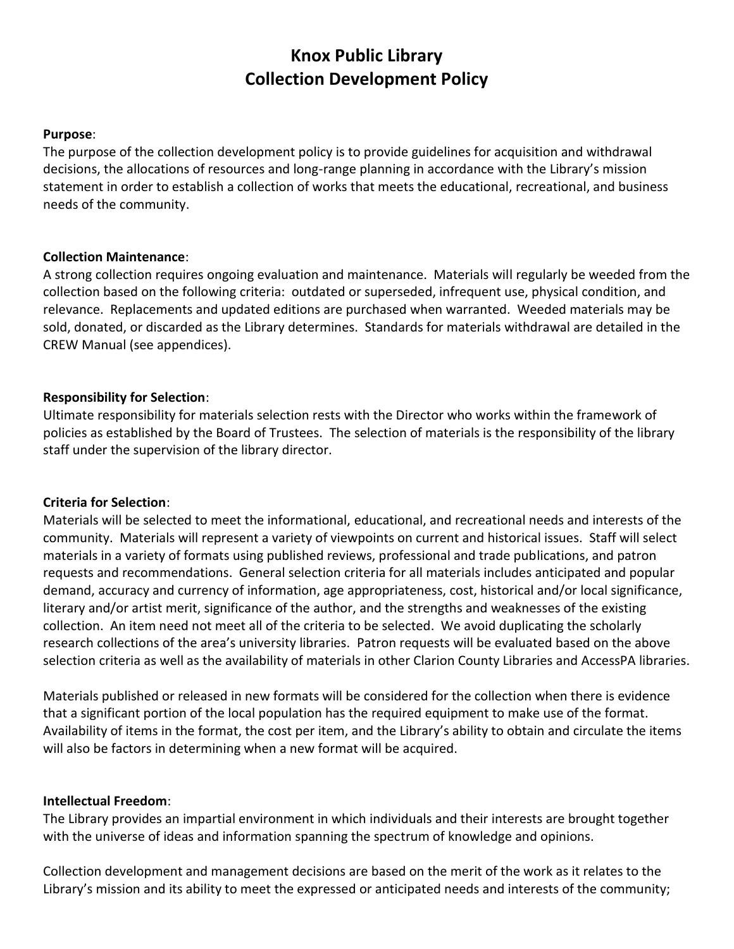# **Knox Public Library Collection Development Policy**

#### **Purpose**:

The purpose of the collection development policy is to provide guidelines for acquisition and withdrawal decisions, the allocations of resources and long-range planning in accordance with the Library's mission statement in order to establish a collection of works that meets the educational, recreational, and business needs of the community.

#### **Collection Maintenance**:

A strong collection requires ongoing evaluation and maintenance. Materials will regularly be weeded from the collection based on the following criteria: outdated or superseded, infrequent use, physical condition, and relevance. Replacements and updated editions are purchased when warranted. Weeded materials may be sold, donated, or discarded as the Library determines. Standards for materials withdrawal are detailed in the CREW Manual (see appendices).

#### **Responsibility for Selection**:

Ultimate responsibility for materials selection rests with the Director who works within the framework of policies as established by the Board of Trustees. The selection of materials is the responsibility of the library staff under the supervision of the library director.

#### **Criteria for Selection**:

Materials will be selected to meet the informational, educational, and recreational needs and interests of the community. Materials will represent a variety of viewpoints on current and historical issues. Staff will select materials in a variety of formats using published reviews, professional and trade publications, and patron requests and recommendations. General selection criteria for all materials includes anticipated and popular demand, accuracy and currency of information, age appropriateness, cost, historical and/or local significance, literary and/or artist merit, significance of the author, and the strengths and weaknesses of the existing collection. An item need not meet all of the criteria to be selected. We avoid duplicating the scholarly research collections of the area's university libraries. Patron requests will be evaluated based on the above selection criteria as well as the availability of materials in other Clarion County Libraries and AccessPA libraries.

Materials published or released in new formats will be considered for the collection when there is evidence that a significant portion of the local population has the required equipment to make use of the format. Availability of items in the format, the cost per item, and the Library's ability to obtain and circulate the items will also be factors in determining when a new format will be acquired.

#### **Intellectual Freedom**:

The Library provides an impartial environment in which individuals and their interests are brought together with the universe of ideas and information spanning the spectrum of knowledge and opinions.

Collection development and management decisions are based on the merit of the work as it relates to the Library's mission and its ability to meet the expressed or anticipated needs and interests of the community;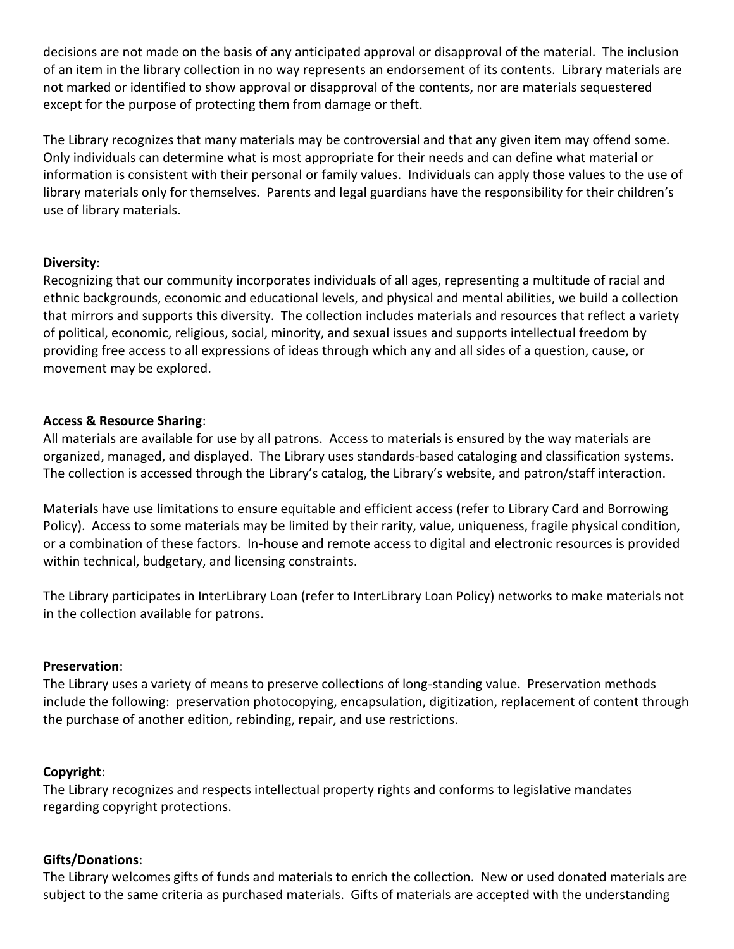decisions are not made on the basis of any anticipated approval or disapproval of the material. The inclusion of an item in the library collection in no way represents an endorsement of its contents. Library materials are not marked or identified to show approval or disapproval of the contents, nor are materials sequestered except for the purpose of protecting them from damage or theft.

The Library recognizes that many materials may be controversial and that any given item may offend some. Only individuals can determine what is most appropriate for their needs and can define what material or information is consistent with their personal or family values. Individuals can apply those values to the use of library materials only for themselves. Parents and legal guardians have the responsibility for their children's use of library materials.

## **Diversity**:

Recognizing that our community incorporates individuals of all ages, representing a multitude of racial and ethnic backgrounds, economic and educational levels, and physical and mental abilities, we build a collection that mirrors and supports this diversity. The collection includes materials and resources that reflect a variety of political, economic, religious, social, minority, and sexual issues and supports intellectual freedom by providing free access to all expressions of ideas through which any and all sides of a question, cause, or movement may be explored.

## **Access & Resource Sharing**:

All materials are available for use by all patrons. Access to materials is ensured by the way materials are organized, managed, and displayed. The Library uses standards-based cataloging and classification systems. The collection is accessed through the Library's catalog, the Library's website, and patron/staff interaction.

Materials have use limitations to ensure equitable and efficient access (refer to Library Card and Borrowing Policy). Access to some materials may be limited by their rarity, value, uniqueness, fragile physical condition, or a combination of these factors. In-house and remote access to digital and electronic resources is provided within technical, budgetary, and licensing constraints.

The Library participates in InterLibrary Loan (refer to InterLibrary Loan Policy) networks to make materials not in the collection available for patrons.

#### **Preservation**:

The Library uses a variety of means to preserve collections of long-standing value. Preservation methods include the following: preservation photocopying, encapsulation, digitization, replacement of content through the purchase of another edition, rebinding, repair, and use restrictions.

#### **Copyright**:

The Library recognizes and respects intellectual property rights and conforms to legislative mandates regarding copyright protections.

# **Gifts/Donations**:

The Library welcomes gifts of funds and materials to enrich the collection. New or used donated materials are subject to the same criteria as purchased materials. Gifts of materials are accepted with the understanding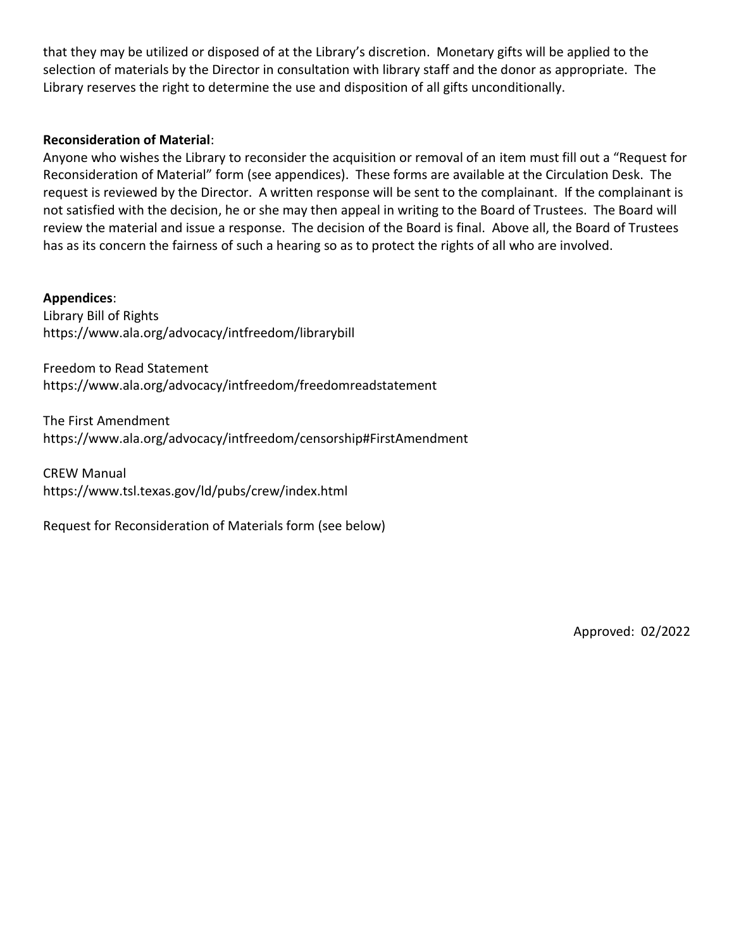that they may be utilized or disposed of at the Library's discretion. Monetary gifts will be applied to the selection of materials by the Director in consultation with library staff and the donor as appropriate. The Library reserves the right to determine the use and disposition of all gifts unconditionally.

#### **Reconsideration of Material**:

Anyone who wishes the Library to reconsider the acquisition or removal of an item must fill out a "Request for Reconsideration of Material" form (see appendices). These forms are available at the Circulation Desk. The request is reviewed by the Director. A written response will be sent to the complainant. If the complainant is not satisfied with the decision, he or she may then appeal in writing to the Board of Trustees. The Board will review the material and issue a response. The decision of the Board is final. Above all, the Board of Trustees has as its concern the fairness of such a hearing so as to protect the rights of all who are involved.

**Appendices**:

Library Bill of Rights https://www.ala.org/advocacy/intfreedom/librarybill

Freedom to Read Statement https://www.ala.org/advocacy/intfreedom/freedomreadstatement

The First Amendment https://www.ala.org/advocacy/intfreedom/censorship#FirstAmendment

CREW Manual

https://www.tsl.texas.gov/ld/pubs/crew/index.html

Request for Reconsideration of Materials form (see below)

Approved: 02/2022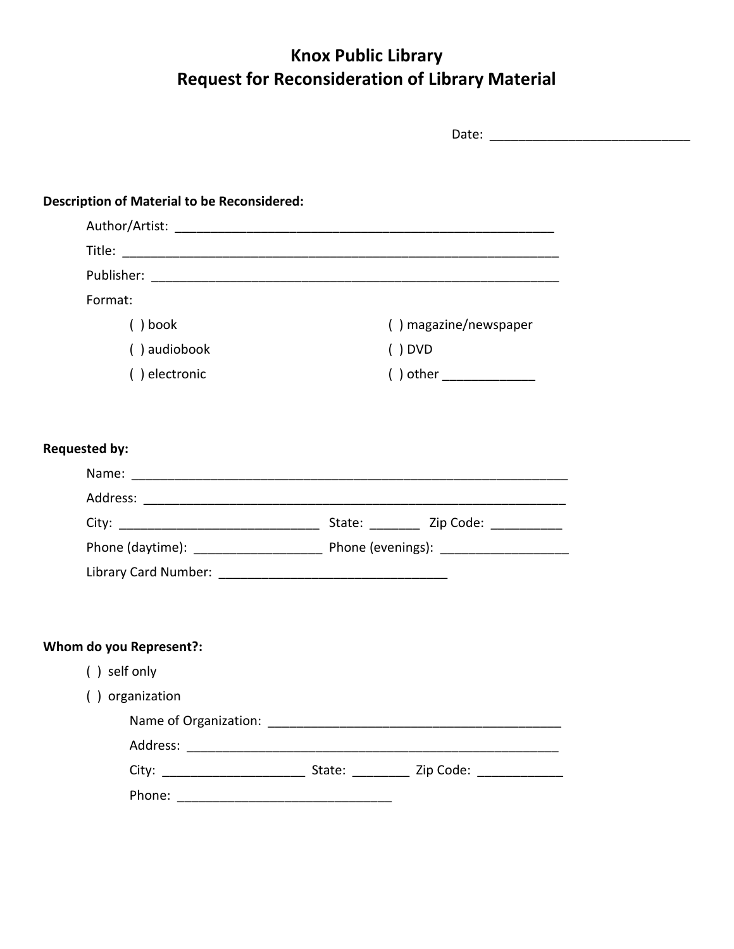# **Knox Public Library Request for Reconsideration of Library Material**

| <b>Description of Material to be Reconsidered:</b> |                            |  |
|----------------------------------------------------|----------------------------|--|
|                                                    |                            |  |
|                                                    |                            |  |
|                                                    |                            |  |
| Format:                                            |                            |  |
| $()$ book                                          | () magazine/newspaper      |  |
| () audiobook                                       | $()$ DVD                   |  |
| () electronic                                      | ( ) other ________________ |  |
|                                                    |                            |  |
| <b>Requested by:</b>                               |                            |  |
|                                                    |                            |  |
|                                                    |                            |  |
|                                                    |                            |  |
|                                                    |                            |  |
|                                                    |                            |  |
|                                                    |                            |  |
|                                                    |                            |  |
| Whom do you Represent?:                            |                            |  |
| () self only                                       |                            |  |
| () organization                                    |                            |  |
|                                                    |                            |  |
|                                                    |                            |  |
|                                                    |                            |  |
|                                                    |                            |  |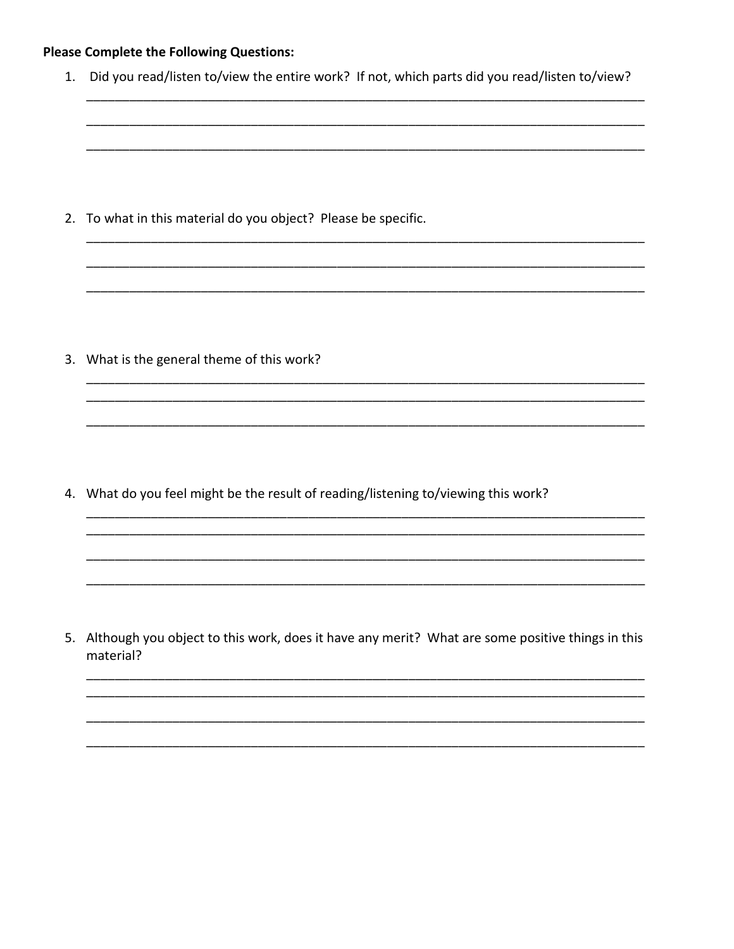# **Please Complete the Following Questions:**

1. Did you read/listen to/view the entire work? If not, which parts did you read/listen to/view?

2. To what in this material do you object? Please be specific.

3. What is the general theme of this work?

4. What do you feel might be the result of reading/listening to/viewing this work?

5. Although you object to this work, does it have any merit? What are some positive things in this material?